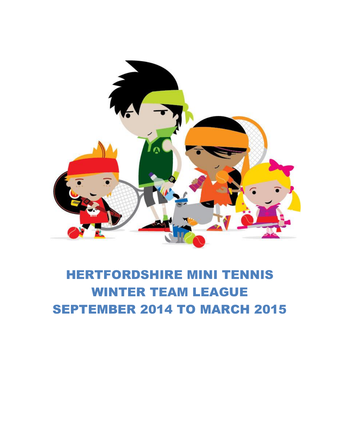

# HERTFORDSHIRE MINI TENNIS WINTER TEAM LEAGUE SEPTEMBER 2014 TO MARCH 2015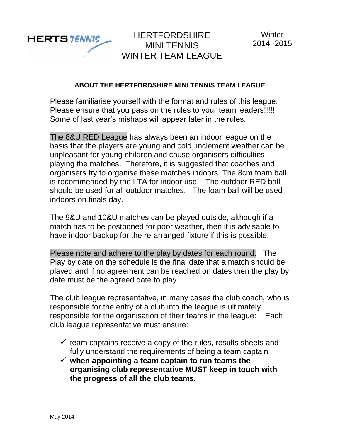

## **ABOUT THE HERTFORDSHIRE MINI TENNIS TEAM LEAGUE**

Please familiarise yourself with the format and rules of this league. Please ensure that you pass on the rules to your team leaders!!!!! Some of last year's mishaps will appear later in the rules.

The 8&U RED League has always been an indoor league on the basis that the players are young and cold, inclement weather can be unpleasant for young children and cause organisers difficulties playing the matches. Therefore, it is suggested that coaches and organisers try to organise these matches indoors. The 8cm foam ball is recommended by the LTA for indoor use. The outdoor RED ball should be used for all outdoor matches. The foam ball will be used indoors on finals day.

The 9&U and 10&U matches can be played outside, although if a match has to be postponed for poor weather, then it is advisable to have indoor backup for the re-arranged fixture if this is possible.

Please note and adhere to the play by dates for each round. The Play by date on the schedule is the final date that a match should be played and if no agreement can be reached on dates then the play by date must be the agreed date to play.

The club league representative, in many cases the club coach, who is responsible for the entry of a club into the league is ultimately responsible for the organisation of their teams in the league: Each club league representative must ensure:

- $\checkmark$  team captains receive a copy of the rules, results sheets and fully understand the requirements of being a team captain
- **when appointing a team captain to run teams the organising club representative MUST keep in touch with the progress of all the club teams.**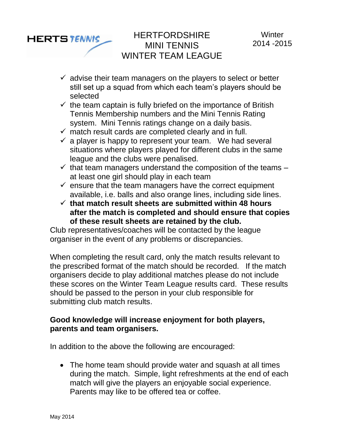

- $\checkmark$  advise their team managers on the players to select or better still set up a squad from which each team's players should be selected
- $\checkmark$  the team captain is fully briefed on the importance of British Tennis Membership numbers and the Mini Tennis Rating system. Mini Tennis ratings change on a daily basis.
- $\checkmark$  match result cards are completed clearly and in full.
- $\checkmark$  a player is happy to represent your team. We had several situations where players played for different clubs in the same league and the clubs were penalised.
- $\checkmark$  that team managers understand the composition of the teams at least one girl should play in each team
- $\checkmark$  ensure that the team managers have the correct equipment available, i.e. balls and also orange lines, including side lines.
- **that match result sheets are submitted within 48 hours after the match is completed and should ensure that copies of these result sheets are retained by the club.**

Club representatives/coaches will be contacted by the league organiser in the event of any problems or discrepancies.

When completing the result card, only the match results relevant to the prescribed format of the match should be recorded. If the match organisers decide to play additional matches please do not include these scores on the Winter Team League results card. These results should be passed to the person in your club responsible for submitting club match results.

# **Good knowledge will increase enjoyment for both players, parents and team organisers.**

In addition to the above the following are encouraged:

• The home team should provide water and squash at all times during the match. Simple, light refreshments at the end of each match will give the players an enjoyable social experience. Parents may like to be offered tea or coffee.

**HERTSTENNIS**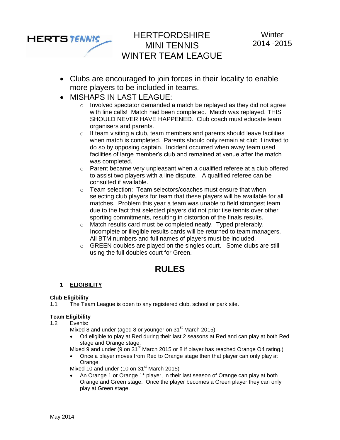Clubs are encouraged to join forces in their locality to enable more players to be included in teams.

HERTFORDSHIRE MINI TENNIS WINTER TEAM LEAGUE

- MISHAPS IN LAST LEAGUE:
	- o Involved spectator demanded a match be replayed as they did not agree with line calls! Match had been completed. Match was replayed. THIS SHOULD NEVER HAVE HAPPENED. Club coach must educate team organisers and parents.
	- $\circ$  If team visiting a club, team members and parents should leave facilities when match is completed. Parents should only remain at club if invited to do so by opposing captain. Incident occurred when away team used facilities of large member's club and remained at venue after the match was completed.
	- $\circ$  Parent became very unpleasant when a qualified referee at a club offered to assist two players with a line dispute. A qualified referee can be consulted if available.
	- $\circ$  Team selection: Team selectors/coaches must ensure that when selecting club players for team that these players will be available for all matches. Problem this year a team was unable to field strongest team due to the fact that selected players did not prioritise tennis over other sporting commitments, resulting in distortion of the finals results.
	- o Match results card must be completed neatly. Typed preferably. Incomplete or illegible results cards will be returned to team managers. All BTM numbers and full names of players must be included.
	- o GREEN doubles are played on the singles court. Some clubs are still using the full doubles court for Green.

# **RULES**

### **1 ELIGIBILITY**

### **Club Eligibility**

**HERTSTENNIS** 

1.1 The Team League is open to any registered club, school or park site.

### **Team Eligibility**

- 1.2 Events:
	- Mixed 8 and under (aged 8 or younger on  $31<sup>st</sup>$  March 2015)
	- O4 eligible to play at Red during their last 2 seasons at Red and can play at both Red stage and Orange stage.

Mixed 9 and under (9 on 31<sup>st</sup> March 2015 or 8 if player has reached Orange O4 rating.)

 Once a player moves from Red to Orange stage then that player can only play at Orange.

Mixed 10 and under (10 on  $31<sup>st</sup>$  March 2015)

 An Orange 1 or Orange 1\* player, in their last season of Orange can play at both Orange and Green stage. Once the player becomes a Green player they can only play at Green stage.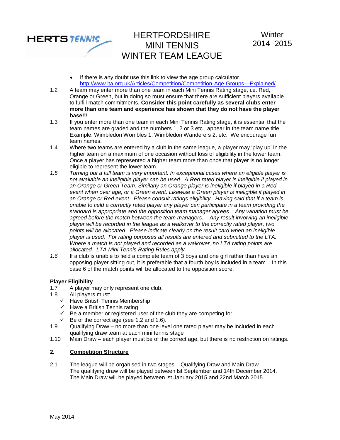

- If there is any doubt use this link to view the age group calculator. <http://www.lta.org.uk/Articles/Competition/Competition-Age-Groups---Explained/>
- 1.2 A team may enter more than one team in each Mini Tennis Rating stage, i.e. Red, Orange or Green, but in doing so must ensure that there are sufficient players available to fulfill match commitments. **Consider this point carefully as several clubs enter more than one team and experience has shown that they do not have the player base!!!**
- 1.3 If you enter more than one team in each Mini Tennis Rating stage, it is essential that the team names are graded and the numbers 1, 2 or 3 etc., appear in the team name title. Example: Wimbledon Wombles 1, Wimbledon Wanderers 2, etc. We encourage fun team names.
- 1.4 Where two teams are entered by a club in the same league, a player may 'play up' in the higher team on a maximum of one occasion without loss of eligibility in the lower team. Once a player has represented a higher team more than once that player is no longer eligible to represent the lower team.
- *1.5 Turning out a full team is very important. In exceptional cases where an eligible player is not available an ineligible player can be used. A Red rated player is ineligible if played in an Orange or Green Team. Similarly an Orange player is ineligible if played in a Red event when over age, or a Green event. Likewise a Green player is ineligible if played in an Orange or Red event. Please consult ratings eligibility. Having said that if a team is unable to field a correctly rated player any player can participate in a team providing the standard is appropriate and the opposition team manager agrees. Any variation must be agreed before the match between the team managers. Any result involving an ineligible player will be recorded in the league as a walkover to the correctly rated player, two points will be allocated. Please indicate clearly on the result card when an ineligible player is used. For rating purposes all results are entered and submitted to the LTA. Where a match is not played and recorded as a walkover, no LTA rating points are allocated. LTA Mini Tennis Rating Rules apply.*
- *1.6* If a club is unable to field a complete team of 3 boys and one girl rather than have an opposing player sitting out, it is preferable that a fourth boy is included in a team. In this case 6 of the match points will be allocated to the opposition score.

### **Player Eligibility**

- 1.7 A player may only represent one club.
- 1.8 All players must:
	- $\checkmark$  Have British Tennis Membership
	- $\checkmark$  Have a British Tennis rating
	- $\overline{B}$  Be a member or registered user of the club they are competing for.
	- $\checkmark$  Be of the correct age (see 1.2 and 1.6).
- 1.9 Qualifying Draw no more than one level one rated player may be included in each qualifying draw team at each mini tennis stage
- 1.10 Main Draw each player must be of the correct age, but there is no restriction on ratings.

### **2. Competition Structure**

2.1 The league will be organised in two stages. Qualifying Draw and Main Draw. The qualifying draw will be played between lst September and 14th December 2014. The Main Draw will be played between lst January 2015 and 22nd March 2015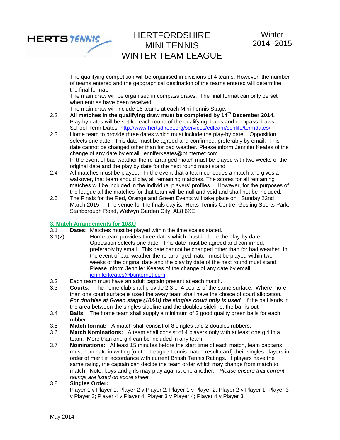

The qualifying competition will be organised in divisions of 4 teams. However, the number of teams entered and the geographical destination of the teams entered will determine the final format.

The main draw will be organised in compass draws. The final format can only be set when entries have been received.

The main draw will include 16 teams at each Mini Tennis Stage.

- 2.2 **All matches in the qualifying draw must be completed by 14th December 2014.** Play by dates will be set for each round of the qualifying draws and compass draws. School Term Dates:<http://www.hertsdirect.org/services/edlearn/schlife/termdates/>
- 2.3 Home team to provide three dates which must include the play-by date. Opposition selects one date. This date must be agreed and confirmed, preferably by email. This date cannot be changed other than for bad weather. Please inform Jennifer Keates of the change of any date by email: jenniferkeates@btinternet.com In the event of bad weather the re-arranged match must be played with two weeks of the original date and the play by date for the next round must stand.
- 2.4 All matches must be played. In the event that a team concedes a match and gives a walkover, that team should play all remaining matches. The scores for all remaining matches will be included in the individual players' profiles. However, for the purposes of the league all the matches for that team will be null and void and shall not be included.
- 2.5 The Finals for the Red, Orange and Green Events will take place on : Sunday 22nd March 2015. The venue for the finals day is: Herts Tennis Centre, Gosling Sports Park, Stanborough Road, Welwyn Garden City, AL8 6XE

# **3. Match Arrangements for 10&U**

- **Dates:** Matches must be played within the time scales stated.
- 3.1(2) Home team provides three dates which must include the play-by date. Opposition selects one date. This date must be agreed and confirmed, preferably by email. This date cannot be changed other than for bad weather. In the event of bad weather the re-arranged match must be played within two weeks of the original date and the play by date of the next round must stand. Please inform Jennifer Keates of the change of any date by email: [jenniferkeates@btinternet.com.](mailto:jenniferkeates@btinternet.com)
- 3.2 Each team must have an adult captain present at each match.
- 3.3 **Courts:** The home club shall provide 2,3 or 4 courts of the same surface. Where more than one court surface is used the away team shall have the choice of court allocation. *For doubles at Green stage (10&U) the singles court only is used*. If the ball lands in the area between the singles sideline and the doubles sideline, the ball is out.
- 3.4 **Balls:** The home team shall supply a minimum of 3 good quality green balls for each rubber.
- 3.5 **Match format:** A match shall consist of 8 singles and 2 doubles rubbers.
- 3.6 **Match Nominations:** A team shall consist of 4 players only with at least one girl in a team. More than one girl can be included in any team.
- 3.7 **Nominations:** At least 15 minutes before the start time of each match, team captains must nominate in writing (on the League Tennis match result card) their singles players in order of merit in accordance with current British Tennis Ratings. If players have the same rating, the captain can decide the team order which may change from match to match. Note: boys and girls may play against one another. *Please ensure that current ratings are listed on score sheet*
- 3.8 **Singles Order:**

Player 1 v Player 1; Player 2 v Player 2; Player 1 v Player 2; Player 2 v Player 1; Player 3 v Player 3; Player 4 v Player 4; Player 3 v Player 4; Player 4 v Player 3.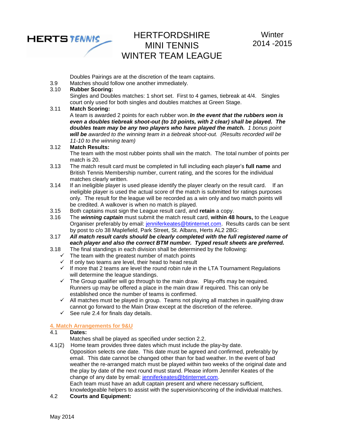

Doubles Pairings are at the discretion of the team captains.

3.9 Matches should follow one another immediately.

### 3.10 **Rubber Scoring:**

Singles and Doubles matches: 1 short set. First to 4 games, tiebreak at 4/4. Singles court only used for both singles and doubles matches at Green Stage.

### 3.11 **Match Scoring:**

A team is awarded 2 points for each rubber won.*In the event that the rubbers won is even a doubles tiebreak shoot-out (to 10 points, with 2 clear) shall be played. The doubles team may be any two players who have played the match. 1 bonus point will be awarded to the winning team in a tiebreak shoot-out. (Results recorded will be 11-10 to the winning team)*

### 3.12 **Match Results:**

The team with the most rubber points shall win the match. The total number of points per match is 20.

- 3.13 The match result card must be completed in full including each player's **full name** and British Tennis Membership number, current rating, and the scores for the individual matches clearly written.
- 3.14 If an ineligible player is used please identify the player clearly on the result card. If an ineligible player is used the actual score of the match is submitted for ratings purposes only. The result for the league will be recorded as a win only and two match points will be credited. A walkover is when no match is played.
- 3.15 Both captains must sign the League result card, and **retain** a copy.
- 3.16 The *winning captain* must submit the match result card, **within 48 hours,** to the League Organiser preferably by email: [jenniferkeates@btinternet.com.](mailto:jenniferkeates@btinternet.com) Results cards can be sent by post to c/o 38 Maplefield, Park Street, St. Albans, Herts AL2 2BG:
- 3.17 *All match result cards should be clearly completed with the full registered name of each player and also the correct BTM number. Typed result sheets are preferred.*
- 3.18 The final standings in each division shall be determined by the following: The final standings in each division shall be determi<br>  $\checkmark$  The team with the greatest number of match points
	-
	- $\checkmark$  If only two teams are level, their head to head result
	- $\checkmark$  If more that 2 teams are level the round robin rule in the LTA Tournament Regulations will determine the league standings.
	- $\checkmark$  The Group qualifier will go through to the main draw. Play-offs may be required. Runners up may be offered a place in the main draw if required. This can only be established once the number of teams is confirmed.
	- $\checkmark$  All matches must be played in group. Teams not playing all matches in qualifying draw cannot go forward to the Main Draw except at the discretion of the referee.
	- $\checkmark$  See rule 2.4 for finals day details.

### **4. Match Arrangements for 9&U**

- 4.1 **Dates:**
	- Matches shall be played as specified under section 2.2.
- 4.1(2) Home team provides three dates which must include the play-by date. Opposition selects one date. This date must be agreed and confirmed, preferably by email. This date cannot be changed other than for bad weather. In the event of bad weather the re-arranged match must be played within two weeks of the original date and the play by date of the next round must stand. Please inform Jennifer Keates of the change of any date by email: [jenniferkeates@btinternet.com.](mailto:jenniferkeates@btinternet.com) Each team must have an adult captain present and where necessary sufficient, knowledgeable helpers to assist with the supervision/scoring of the individual matches.
- 4.2 **Courts and Equipment:**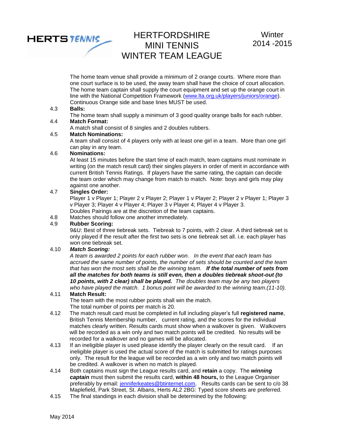

The home team venue shall provide a minimum of 2 orange courts. Where more than one court surface is to be used, the away team shall have the choice of court allocation. The home team captain shall supply the court equipment and set up the orange court in line with the National Competition Framework [\(www.lta.org.uk/players/juniors/orange\)](http://www.lta.org.uk/players/juniors/orange). Continuous Orange side and base lines MUST be used.

#### 4.3 **Balls:**

The home team shall supply a minimum of 3 good quality orange balls for each rubber.

#### 4.4 **Match Format:**

A match shall consist of 8 singles and 2 doubles rubbers.

### 4.5 **Match Nominations:**

A team shall consist of 4 players only with at least one girl in a team. More than one girl can play in any team.

#### 4.6 **Nominations:**

At least 15 minutes before the start time of each match, team captains must nominate in writing (on the match result card) their singles players in order of merit in accordance with current British Tennis Ratings. If players have the same rating, the captain can decide the team order which may change from match to match. Note: boys and girls may play against one another.

#### 4.7 **Singles Order:**

Player 1 v Player 1; Player 2 v Player 2; Player 1 v Player 2; Player 2 v Player 1; Player 3 v Player 3; Player 4 v Player 4; Player 3 v Player 4; Player 4 v Player 3.

Doubles Pairings are at the discretion of the team captains.

4.8 Matches should follow one another immediately.

### 4.9 **Rubber Scoring:**

9&U: Best of three tiebreak sets. Tiebreak to 7 points, with 2 clear. A third tiebreak set is only played if the result after the first two sets is one tiebreak set all. i.e. each player has won one tiebreak set.

#### 4.10 *Match Scoring:*

*A team is awarded 2 points for each rubber won. In the event that each team has accrued the same number of points, the number of sets should be counted and the team that has won the most sets shall be the winning team. If the total number of sets from all the matches for both teams is still even, then a doubles tiebreak shoot-out (to 10 points, with 2 clear) shall be played. The doubles team may be any two players who have played the match. 1 bonus point will be awarded to the winning team.(11-10).*

### 4.11 **Match Result:**

The team with the most rubber points shall win the match. The total number of points per match is 20.

- 4.12 The match result card must be completed in full including player's full **registered name**, British Tennis Membership number, current rating, and the scores for the individual matches clearly written. Results cards must show when a walkover is given. Walkovers will be recorded as a win only and two match points will be credited. No results will be recorded for a walkover and no games will be allocated.
- 4.13 If an ineligible player is used please identify the player clearly on the result card. If an ineligible player is used the actual score of the match is submitted for ratings purposes only. The result for the league will be recorded as a win only and two match points will be credited. A walkover is when no match is played.
- 4.14 Both captains must sign the League results card, and **retain** a copy. The *winning captain* must then submit the results card, **within 48 hours,** to the League Organiser preferably by email: [jenniferkeates@btinternet.com.](mailto:jenniferkeates@btinternet.com) Results cards can be sent to c/o 38 Maplefield, Park Street, St. Albans, Herts AL2 2BG: Typed score sheets are preferred.
- 4.15 The final standings in each division shall be determined by the following: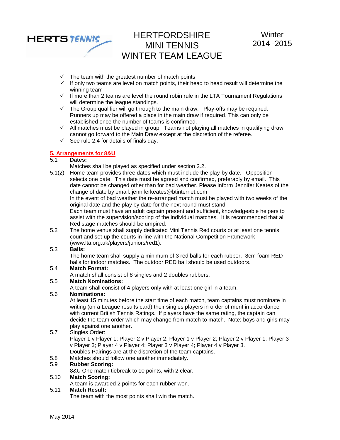

- $\checkmark$  The team with the greatest number of match points
- $\checkmark$  If only two teams are level on match points, their head to head result will determine the winning team
- $\checkmark$  If more than 2 teams are level the round robin rule in the LTA Tournament Regulations will determine the league standings.
- $\checkmark$  The Group qualifier will go through to the main draw. Play-offs may be required. Runners up may be offered a place in the main draw if required. This can only be established once the number of teams is confirmed.
- $\checkmark$  All matches must be played in group. Teams not playing all matches in qualifying draw cannot go forward to the Main Draw except at the discretion of the referee.
- $\checkmark$  See rule 2.4 for details of finals day.

#### **5. Arrangements for 8&U**

### 5.1 **Dates:**

Matches shall be played as specified under section 2.2.

5.1(2) Home team provides three dates which must include the play-by date. Opposition selects one date. This date must be agreed and confirmed, preferably by email. This date cannot be changed other than for bad weather. Please inform Jennifer Keates of the change of date by email: jenniferkeates@btinternet.com

In the event of bad weather the re-arranged match must be played with two weeks of the original date and the play by date for the next round must stand.

Each team must have an adult captain present and sufficient, knowledgeable helpers to assist with the supervision/scoring of the individual matches. It is recommended that all Red stage matches should be umpired.

5.2 The home venue shall supply dedicated Mini Tennis Red courts or at least one tennis court and set-up the courts in line with the National Competition Framework (www.lta.org.uk/players/juniors/red1).

#### 5.3 **Balls:**

The home team shall supply a minimum of 3 red balls for each rubber. 8cm foam RED balls for indoor matches. The outdoor RED ball should be used outdoors.

#### 5.4 **Match Format:**

A match shall consist of 8 singles and 2 doubles rubbers.

#### 5.5 **Match Nominations:**

A team shall consist of 4 players only with at least one girl in a team.

#### 5.6 **Nominations:**

At least 15 minutes before the start time of each match, team captains must nominate in writing (on a League results card) their singles players in order of merit in accordance with current British Tennis Ratings. If players have the same rating, the captain can decide the team order which may change from match to match. Note: boys and girls may play against one another.

### 5.7 Singles Order:

Player 1 v Player 1; Player 2 v Player 2; Player 1 v Player 2; Player 2 v Player 1; Player 3 v Player 3; Player 4 v Player 4; Player 3 v Player 4; Player 4 v Player 3. Doubles Pairings are at the discretion of the team captains.

5.8 Matches should follow one another immediately.

### 5.9 **Rubber Scoring:**

8&U One match tiebreak to 10 points, with 2 clear.

#### 5.10 **Match Scoring:**

A team is awarded 2 points for each rubber won.

#### 5.11 **Match Result:**

The team with the most points shall win the match.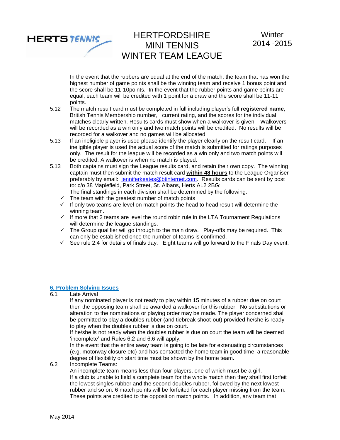

In the event that the rubbers are equal at the end of the match, the team that has won the highest number of game points shall be the winning team and receive 1 bonus point and the score shall be 11-10points. In the event that the rubber points and game points are equal, each team will be credited with 1 point for a draw and the score shall be 11-11 points.

- 5.12 The match result card must be completed in full including player's full **registered name**, British Tennis Membership number, current rating, and the scores for the individual matches clearly written. Results cards must show when a walkover is given. Walkovers will be recorded as a win only and two match points will be credited. No results will be recorded for a walkover and no games will be allocated.
- 5.13 If an ineligible player is used please identify the player clearly on the result card. If an ineligible player is used the actual score of the match is submitted for ratings purposes only. The result for the league will be recorded as a win only and two match points will be credited. A walkover is when no match is played.
- 5.13 Both captains must sign the League results card, and retain their own copy. The winning captain must then submit the match result card **within 48 hours** to the League Organiser preferably by email: [jenniferkeates@btinternet.com.](mailto:jenniferkeates@btinternet.com) Results cards can be sent by post to: c/o 38 Maplefield, Park Street, St. Albans, Herts AL2 2BG:
	- The final standings in each division shall be determined by the following:
	- $\checkmark$  The team with the greatest number of match points
	- $\checkmark$  If only two teams are level on match points the head to head result will determine the winning team.
	- $\checkmark$  If more that 2 teams are level the round robin rule in the LTA Tournament Regulations will determine the league standings.
	- $\checkmark$  The Group qualifier will go through to the main draw. Play-offs may be required. This can only be established once the number of teams is confirmed.
	- $\checkmark$  See rule 2.4 for details of finals day. Eight teams will go forward to the Finals Day event.

### **6. Problem Solving Issues**

6.1 Late Arrival

If any nominated player is not ready to play within 15 minutes of a rubber due on court then the opposing team shall be awarded a walkover for this rubber. No substitutions or alteration to the nominations or playing order may be made. The player concerned shall be permitted to play a doubles rubber (and tiebreak shoot-out) provided he/she is ready to play when the doubles rubber is due on court.

If he/she is not ready when the doubles rubber is due on court the team will be deemed 'incomplete' and Rules 6.2 and 6.6 will apply.

In the event that the entire away team is going to be late for extenuating circumstances (e.g. motorway closure etc) and has contacted the home team in good time, a reasonable degree of flexibility on start time must be shown by the home team.

6.2 Incomplete Teams:

An incomplete team means less than four players, one of which must be a girl. If a club is unable to field a complete team for the whole match then they shall first forfeit the lowest singles rubber and the second doubles rubber, followed by the next lowest rubber and so on. 6 match points will be forfeited for each player missing from the team. These points are credited to the opposition match points. In addition, any team that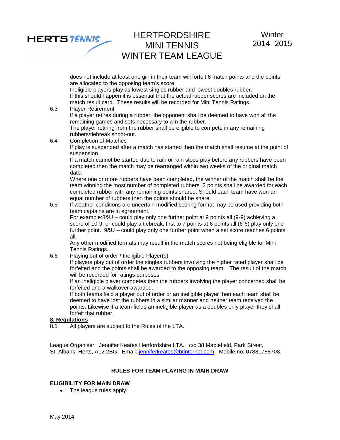

does not include at least one girl in their team will forfeit 6 match points and the points are allocated to the opposing team's score.

Ineligible players play as lowest singles rubber and lowest doubles rubber. If this should happen it is essential that the actual rubber scores are included on the match result card. These results will be recorded for Mini Tennis Ratings.

6.3 Player Retirement If a player retires during a rubber, the opponent shall be deemed to have won all the

remaining games and sets necessary to win the rubber. The player retiring from the rubber shall be eligible to compete in any remaining rubbers/tiebreak shoot-out.

6.4 Completion of Matches

If play is suspended after a match has started then the match shall resume at the point of suspension.

If a match cannot be started due to rain or rain stops play before any rubbers have been completed then the match may be rearranged within two weeks of the original match date.

Where one or more rubbers have been completed, the winner of the match shall be the team winning the most number of completed rubbers. 2 points shall be awarded for each completed rubber with any remaining points shared. Should each team have won an equal number of rubbers then the points should be share.

6.5 If weather conditions are uncertain modified scoring format may be used providing both team captains are in agreement.

For example:8&U – could play only one further point at 9 points all (9-9) achieving a score of 10-9, or could play a tiebreak, first to 7 points at 6 points all (6-6) play only one further point. 9&U – could play only one further point when a set score reaches 6 points all.

Any other modified formats may result in the match scores not being eligible for Mini Tennis Ratings.

6.6 Playing out of order / Ineligible Player(s)

If players play out of order the singles rubbers involving the higher rated player shall be forfeited and the points shall be awarded to the opposing team. The result of the match will be recorded for ratings purposes.

If an ineligible player competes then the rubbers involving the player concerned shall be forfeited and a walkover awarded.

If both teams field a player out of order or an ineligible player then each team shall be deemed to have lost the rubbers in a similar manner and neither team received the points. Likewise if a team fields an ineligible player as a doubles only player they shall forfeit that rubber.

#### **8. Regulations**

8.1 All players are subject to the Rules of the LTA.

League Organiser: Jennifer Keates Hertfordshire LTA. c/o 38 Maplefield, Park Street, St. Albans, Herts, AL2 2BG. Email: [jenniferkeates@btinternet.com.](mailto:jenniferkeates@btinternet.com) Mobile no; 07881788708.

### **RULES FOR TEAM PLAYING IN MAIN DRAW**

#### **ELIGIBILITY FOR MAIN DRAW**

• The league rules apply.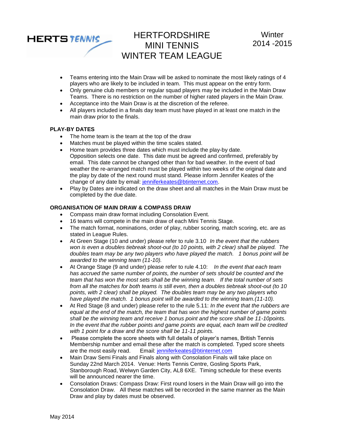

- Teams entering into the Main Draw will be asked to nominate the most likely ratings of 4 players who are likely to be included in team. This must appear on the entry form.
- Only genuine club members or regular squad players may be included in the Main Draw Teams. There is no restriction on the number of higher rated players in the Main Draw.
- Acceptance into the Main Draw is at the discretion of the referee.
- All players included in a finals day team must have played in at least one match in the main draw prior to the finals.

#### **PLAY-BY DATES**

- The home team is the team at the top of the draw
- Matches must be played within the time scales stated.
- Home team provides three dates which must include the play-by date. Opposition selects one date. This date must be agreed and confirmed, preferably by email. This date cannot be changed other than for bad weather. In the event of bad weather the re-arranged match must be played within two weeks of the original date and the play by date of the next round must stand. Please inform Jennifer Keates of the change of any date by email: [jenniferkeates@btinternet.com.](mailto:jenniferkeates@btinternet.com)
- Play by Dates are indicated on the draw sheet and all matches in the Main Draw must be completed by the due date.

### **ORGANISATION OF MAIN DRAW & COMPASS DRAW**

- Compass main draw format including Consolation Event.
- 16 teams will compete in the main draw of each Mini Tennis Stage.
- The match format, nominations, order of play, rubber scoring, match scoring, etc. are as stated in League Rules.
- At Green Stage (10 and under) please refer to rule 3.10 *In the event that the rubbers won is even a doubles tiebreak shoot-out (to 10 points, with 2 clear) shall be played. The doubles team may be any two players who have played the match. 1 bonus point will be awarded to the winning team (11-10).*
- At Orange Stage (9 and under) please refer to rule 4.10: *In the event that each team has accrued the same number of points, the number of sets should be counted and the team that has won the most sets shall be the winning team. If the total number of sets from all the matches for both teams is still even, then a doubles tiebreak shoot-out (to 10 points, with 2 clear) shall be played. The doubles team may be any two players who have played the match. 1 bonus point will be awarded to the winning team.(11-10).*
- At Red Stage (8 and under) please refer to the rule 5.11: *In the event that the rubbers are equal at the end of the match, the team that has won the highest number of game points shall be the winning team and receive 1 bonus point and the score shall be 11-10points. In the event that the rubber points and game points are equal, each team will be credited with 1 point for a draw and the score shall be 11-11 points.*
- Please complete the score sheets with full details of player's names, British Tennis Membership number and email these after the match is completed. Typed score sheets are the most easily read. Email: [jenniferkeates@btinternet.com](mailto:jenniferkeates@btinternet.com)
- Main Draw Semi Finals and Finals along with Consolation Finals will take place on Sunday 22nd March 2014. Venue: Herts Tennis Centre, Gosling Sports Park, Stanborough Road, Welwyn Garden City, AL8 6XE. Timing schedule for these events will be announced nearer the time.
- Consolation Draws: Compass Draw: First round losers in the Main Draw will go into the Consolation Draw. All these matches will be recorded in the same manner as the Main Draw and play by dates must be observed.